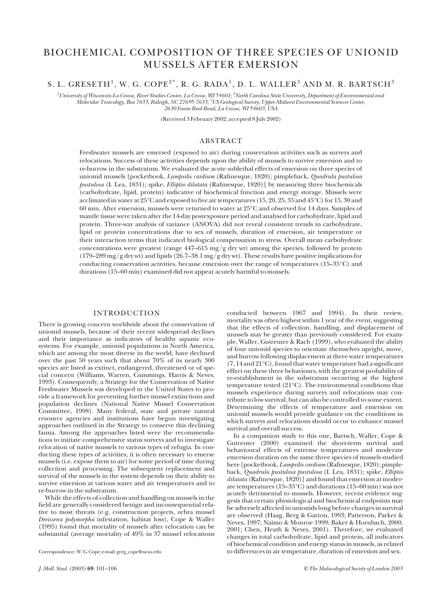# BIOCHEMICAL COMPOSITION OF THREE SPECIES OF UNIONID MUSSELS AFTER EMERSION

## S. L. GRESETH<sup>1</sup>, W. G. COPE<sup>2\*</sup>, R. G. RADA<sup>1</sup>, D. L. WALLER<sup>3</sup> AND M. R. BARTSCH<sup>3</sup>

*1 University of Wisconsin-La Crosse, River Studies Center, La Crosse, WI 54601; 2 North Carolina State University, Department of Environmental and Molecular Toxicology, Box 7633, Raleigh, NC 27695-7633; 3 US Geological Survey, Upper Midwest Environmental Sciences Center, 2630 Fanta Reed Road, La Crosse, WI 54603, USA*

(Received 3 February 2002; accepted 8 July 2002)

## ABSTRACT

Freshwater mussels are emersed (exposed to air) during conservation activities such as surveys and relocations. Success of these activities depends upon the ability of mussels to survive emersion and to re-burrow in the substratum. We evaluated the acute sublethal effects of emersion on three species of unionid mussels [pocketbook, *Lampsilis cardium* (Rafinesque, 1820); pimpleback, *Quadrula pustulosa pustulosa* (I. Lea, 1831); spike, *Elliptio dilatata* (Rafinesque, 1820)] by measuring three biochemicals (carbohydrate, lipid, protein) indicative of biochemical function and energy storage. Mussels were acclimated in water at 25°C and exposed to five air temperatures (15, 20, 25, 35 and 45°C) for 15, 30 and 60 min. After emersion, mussels were returned to water at 25°C and observed for 14 days. Samples of mantle tissue were taken after the 14-day postexposure period and analysed for carbohydrate, lipid and protein. Three-way analysis of variance (ANOVA) did not reveal consistent trends in carbohydrate, lipid or protein concentrations due to sex of mussels, duration of emersion, air temperature or their interaction terms that indicated biological compensation to stress. Overall mean carbohydrate concentrations were greatest (range 447–615 mg/g dry wt) among the species, followed by protein (179–289 mg/g dry wt) and lipids (26.7–38.1 mg/g dry wt). These results have positive implications for conducting conservation activities, because emersion over the range of temperatures (15–35°C) and durations (15–60 min) examined did not appear acutely harmful to mussels.

## INTRODUCTION

There is growing concern worldwide about the conservation of unionid mussels, because of their recent widespread declines and their importance as indicators of healthy aquatic ecosystems. For example, unionid populations in North America, which are among the most diverse in the world, have declined over the past  $50$  years such that about  $70\%$  of its nearly 300 species are listed as extinct, endangered, threatened or of special concern (Williams, Warren, Cummings, Harris & Neves, 1993). Consequently, a Strategy for the Conservation of Native Freshwater Mussels was developed in the United States to provide a framework for preventing further mussel extinctions and population declines (National Native Mussel Conservation Committee, 1998). Many federal, state and private natural resource agencies and institutions have begun investigating approaches outlined in the Strategy to conserve this declining fauna. Among the approaches listed were the recommendations to initiate comprehensive status surveys and to investigate relocation of native mussels to various types of refugia. In conducting these types of activities, it is often necessary to emerse mussels (i.e. expose them to air) for some period of time during collection and processing. The subsequent replacement and survival of the mussels in the system depends on their ability to survive emersion at various water and air temperatures and to re-burrow in the substratum.

While the effects of collection and handling on mussels in the field are generally considered benign and inconsequential relative to most threats (e.g. construction projects, zebra mussel *Dreissena polymorpha* infestation, habitat loss), Cope & Waller (1995) found that mortality of mussels after relocation can be substantial (average mortality of 49% in 37 mussel relocations

Correspondence: W. G. Cope; e-mail: greg\_cope@ncsu.edu

conducted between 1967 and 1994). In their review, mortality was often highest within 1 year of the event, suggesting that the effects of collection, handling, and displacement of mussels may be greater than previously considered. For example, Waller, Gutreuter & Rach (1999), who evaluated the ability of four unionid species to orientate themselves upright, move, and burrow following displacement at three water temperatures (7, 14 and 21°C), found that water temperature had a significant effect on these three behaviours, with the greatest probability of re-establishment in the substratum occurring at the highest temperature tested (21°C). The environmental conditions that mussels experience during surveys and relocations may contribute to low survival, but can also be controlled to some extent. Determining the effects of temperature and emersion on unionid mussels would provide guidance on the conditions in which surveys and relocations should occur to enhance mussel survival and overall success.

In a companion study to this one, Bartsch, Waller, Cope & Gutreuter (2000) examined the short-term survival and behavioural effects of extreme temperatures and moderate emersion duration on the same three species of mussels studied here [pocketbook, *Lampsilis cardium* (Rafinesque, 1820); pimpleback, *Quadrula pustulosa pustulosa* (I. Lea, 1831); spike, *Elliptio dilatata* (Rafinesque, 1820)] and found that emersion at moderate temperatures (15–35°C) and durations (15–60 min) was not acutely detrimental to mussels. However, recent evidence suggests that certain physiological and biochemical endpoints may be adversely affected in unionids long before changes in survival are observed (Haag, Berg & Garton, 1993; Patterson, Parker & Neves, 1997; Naimo & Monroe 1999; Baker & Hornbach, 2000, 2001; Chen, Heath & Neves, 2001). Therefore, we evaluated changes in total carbohydrate, lipid and protein, all indicators of biochemical condition and energy status in mussels, as related to differences in air temperature, duration of emersion and sex.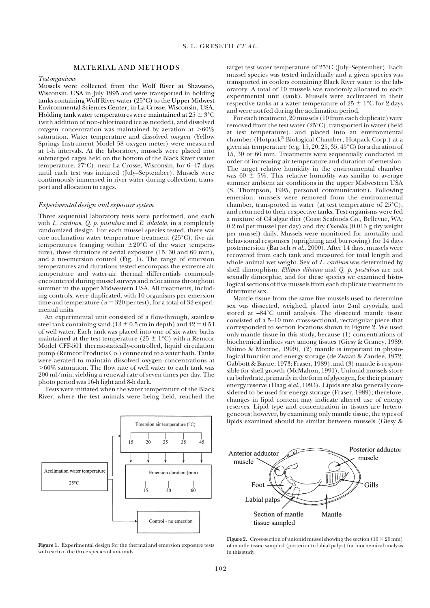## MATERIAL AND METHODS

#### *Test organisms*

Mussels were collected from the Wolf River at Shawano, Wisconsin, USA in July 1995 and were transported in holding tanks containing Wolf River water (25°C) to the Upper Midwest Environmental Sciences Center, in La Crosse, Wisconsin, USA. Holding tank water temperatures were maintained at 25  $\pm$  3°C (with addition of non-chlorinated ice as needed), and dissolved oxygen concentration was maintained by aeration at  $>60\%$ saturation. Water temperature and dissolved oxygen (Yellow Springs Instrument Model 58 oxygen meter) were measured at 1-h intervals. At the laboratory, mussels were placed into submerged cages held on the bottom of the Black River (water temperature, 27°C), near La Crosse, Wisconsin, for 6–47 days until each test was initiated (July–September). Mussels were continuously immersed in river water during collection, transport and allocation to cages.

## *Experimental design and exposure system*

Three sequential laboratory tests were performed, one each with *L. cardium*, *Q. p. pustulosa* and *E. dilatata*, in a completely randomized design. For each mussel species tested, there was one acclimation water temperature treatment (25°C), five air temperatures (ranging within  $\pm 20^{\circ}$ C of the water temperature), three durations of aerial exposure (15, 30 and 60 min), and a no-emersion control (Fig. 1). The range of emersion temperatures and durations tested encompass the extreme air temperature and water-air thermal differentials commonly encountered during mussel surveys and relocations throughout summer in the upper Midwestern USA. All treatments, including controls, were duplicated, with 10 organisms per emersion time and temperature ( $n = 320$  per test), for a total of 32 experimental units.

An experimental unit consisted of a flow-through, stainless steel tank containing sand  $(13 \pm 0.5 \,\text{cm}$  in depth) and  $42 \pm 0.51$ of well water. Each tank was placed into one of six water baths maintained at the test temperature ( $25 \pm 1^{\circ}$ C) with a Remcor Model CFF-501 thermostatically-controlled, liquid circulation pump (Remcor Products Co.) connected to a water bath. Tanks were aerated to maintain dissolved oxygen concentrations at 60% saturation. The flow rate of well water to each tank was 200 ml/min, yielding a renewal rate of seven times per day. The photo period was 16-h light and 8-h dark.

Tests were initiated when the water temperature of the Black River, where the test animals were being held, reached the

Emersion air temperature (°C)  $20^{\circ}$  $2<sub>5</sub>$  $15$  $3<sup>2</sup>$  $4<sub>5</sub>$ Acclimation water temperature Emersion duration (min)  $25^{\circ}$ C  $15$  $30^{\circ}$ 60 Control - no emersion

**Figure 1.** Experimental design for the thermal and emersion exposure tests with each of the three species of unionids.

target test water temperature of 25°C (July–September). Each mussel species was tested individually and a given species was transported in coolers containing Black River water to the laboratory. A total of 10 mussels was randomly allocated to each experimental unit (tank). Mussels were acclimated in their respective tanks at a water temperature of  $25 \pm 1^{\circ} \text{C}$  for 2 days and were not fed during the acclimation period.

For each treatment,  $\frac{9}{20}$  mussels (10 from each duplicate) were removed from the test water (25°C), transported in water (held at test temperature), and placed into an environmental chamber (Hotpack® Biological Chamber, Hotpack Corp.) at a given air temperature (e.g. 15, 20, 25, 35, 45°C) for a duration of 15, 30 or 60 min. Treatments were sequentially conducted in order of increasing air temperature and duration of emersion. The target relative humidity in the environmental chamber was  $60 \pm 5\%$ . This relative humidity was similar to average summer ambient air conditions in the upper Midwestern USA (S. Thompson, 1995, personal communication). Following emersion, mussels were removed from the environmental chamber, transported in water (at test temperature of 25°C), and returned to their respective tanks. Test organisms were fed a mixture of C4 algae diet (Coast Seafoods Co., Bellevue, WA; 0.2 ml per mussel per day) and dry *Chorella* (0.013 g dry weight per mussel) daily. Mussels were monitored for mortality and behavioural responses (uprighting and burrowing) for 14 days postemersion (Bartsch *et al.*, 2000). After 14 days, mussels were recovered from each tank and measured for total length and whole animal wet weight. Sex of *L. cardium* was determined by shell dimorphism. *Elliptio dilatata* and *Q. p. pustulosa* are not sexually dimorphic, and for these species we examined histological sections of five mussels from each duplicate treatment to determine sex.

Mantle tissue from the same five mussels used to determine sex was dissected, weighed, placed into 2-ml cryovials, and stored at –84°C until analysis. The dissected mantle tissue consisted of a 5–10 mm cross-sectional, rectangular piece that corresponded to section locations shown in Figure 2. We used only mantle tissue in this study, because (1) concentrations of biochemical indices vary among tissues (Giesy & Graney, 1989; Naimo & Monroe, 1999), (2) mantle is important in physiological function and energy storage (de Zwaan & Zandee, 1972; Gabbott & Bayne, 1973; Fraser, 1989), and (3) mantle is responsible for shell growth (McMahon, 1991). Unionid mussels store carbohydrate, primarily in the form of glycogen, for their primary energy reserve (Haag *et al.*, 1993). Lipids are also generally considered to be used for energy storage (Fraser, 1989); therefore, changes in lipid content may indicate altered use of energy reserves. Lipid type and concentration in tissues are heterogeneous; however, by examining only mantle tissue, the types of lipids examined should be similar between mussels (Giesy &



**Figure 2.** Cross-section of unionid mussel showing the section  $(10 \times 20 \text{ mm})$ of mantle tissue sampled (posterior to labial palps) for biochemical analysis in this study.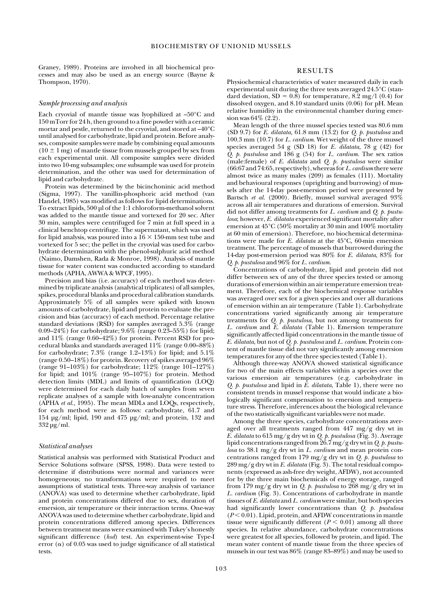Graney, 1989). Proteins are involved in all biochemical processes and may also be used as an energy source (Bayne & Thompson, 1970).

#### *Sample processing and analysis*

Each cryovial of mantle tissue was lyophilized at –50°C and 150 mTorr for 24 h, then ground to a fine powder with a ceramic mortar and pestle, returned to the cryovial, and stored at –40°C until analysed for carbohydrate, lipid and protein. Before analyses, composite samples were made by combining equal amounts  $(10 \pm 1 \text{ mg})$  of mantle tissue from mussels grouped by sex from each experimental unit. All composite samples were divided into two 10-mg subsamples; one subsample was used for protein determination, and the other was used for determination of lipid and carbohydrate.

Protein was determined by the bicinchoninic acid method (Sigma, 1997). The vanillin-phosphoric acid method (van Handel, 1985) was modified as follows for lipid determinations. To extract lipids, 500 µl of the 1:1 chloroform-methanol solvent was added to the mantle tissue and vortexed for 20 sec. After 30 min, samples were centrifuged for 7 min at full speed in a clinical benchtop centrifuge. The supernatant, which was used for lipid analysis, was poured into a  $16 \times 150$ -mm test tube and vortexed for 5 sec; the pellet in the cryovial was used for carbohydrate determination with the phenol-sulphuric acid method (Naimo, Damshen, Rada & Monroe, 1998). Analysis of mantle tissue for water content was conducted according to standard methods (APHA, AWWA & WPCF, 1995).

Precision and bias (i.e. accuracy) of each method was determined by triplicate analysis (analytical triplicates) of all samples, spikes, procedural blanks and procedural calibration standards. Approximately 5% of all samples were spiked with known amounts of carbohydrate, lipid and protein to evaluate the precision and bias (accuracy) of each method. Percentage relative standard deviations (RSD) for samples averaged 5.3% (range 0.09–24%) for carbohydrate; 9.6% (range 0.23–55%) for lipid; and 11% (range 0.60–42%) for protein. Percent RSD for procedural blanks and standards averaged 11% (range 0.00–88%) for carbohydrate;  $7.3\%$  (range 1.2–13%) for lipid; and  $5.1\%$ (range 0.50–18%) for protein. Recovery of spikes averaged 96% (range 91–103%) for carbohydrate; 112% (range 101–127%) for lipid; and 101% (range 95–107%) for protein. Method detection limits (MDL) and limits of quantification (LOQ) were determined for each daily batch of samples from seven replicate analyses of a sample with low-analyte concentration (APHA *et al.,* 1995). The mean MDLs and LOQs, respectively, for each method were as follows: carbohydrate, 61.7 and 154 µg/ml; lipid, 190 and 475 µg/ml; and protein, 132 and 332 µg/ml.

#### *Statistical analyses*

Statistical analysis was performed with Statistical Product and Service Solutions software (SPSS, 1998). Data were tested to determine if distributions were normal and variances were homogeneous; no transformations were required to meet assumptions of statistical tests. Three-way analysis of variance (ANOVA) was used to determine whether carbohydrate, lipid and protein concentrations differed due to sex, duration of emersion, air temperature or their interaction terms. One-way ANOVA was used to determine whether carbohydrate, lipid and protein concentrations differed among species. Differences between treatment means were examined with Tukey's honestly significant difference (*hsd*) test. An experiment-wise Type-I error  $(\alpha)$  of 0.05 was used to judge significance of all statistical tests.

## RESULTS

Physiochemical characteristics of water measured daily in each experimental unit during the three tests averaged 24.5°C (standard deviation,  $SD = 0.8$ ) for temperature, 8.2 mg/l (0.4) for dissolved oxygen, and 8.10 standard units (0.06) for pH. Mean relative humidity in the environmental chamber during emersion was 64% (2.2).

Mean length of the three mussel species tested was 80.6 mm (SD 9.7) for *E. dilatata,* 61.8 mm (13.2) for *Q. p. pustulosa* and 100.3 mm (10.7) for *L. cardium*. Wet weight of the three mussel species averaged 54 g (SD 18) for *E. dilatata,* 78 g (42) for *Q. p. pustulosa* and 186 g (54) for *L. cardium*. The sex ratios (male:female) of *E. dilatata* and *Q. p. pustulosa* were similar (66:67 and 74:65, respectively), whereas for *L. cardium* there were almost twice as many males (209) as females (111). Mortality and behavioural responses (uprighting and burrowing) of mussels after the 14-day post-emersion period were presented by Bartsch *et al.* (2000). Briefly, mussel survival averaged 93% across all air temperatures and durations of emersion. Survival did not differ among treatments for *L. cardium* and *Q. p. pustulosa*; however, *E. dilatata* experienced significant mortality after emersion at 45°C (50% mortality at 30 min and 100% mortality at 60 min of emersion). Therefore, no biochemical determinations were made for *E. dilatata* at the 45°C, 60-min emersion treatment. The percentage of mussels that burrowed during the 14-day post-emersion period was 80% for *E. dilatata*, 83% for *Q. p. pustulosa* and 96% for *L. cardium*.

Concentrations of carbohydrate, lipid and protein did not differ between sex of any of the three species tested or among durations of emersion within an air temperature emersion treatment. Therefore, each of the biochemical response variables was averaged over sex for a given species and over all durations of emersion within an air temperature (Table 1). Carbohydrate concentrations varied significantly among air temperature treatments for *Q. p. pustulosa*, but not among treatments for *L. cardium* and *E. dilatata* (Table 1). Emersion temperature significantly affected lipid concentrations in the mantle tissue of *E. dilatata*, but not of *Q. p. pustulosa* and *L. cardium*. Protein content of mantle tissue did not vary significantly among emersion temperatures for any of the three species tested (Table 1).

Although three-way ANOVA showed statistical significance for two of the main effects variables within a species over the various emersion air temperatures (e.g. carbohydrate in *Q. p. pustulosa* and lipid in *E. dilatata*, Table 1), there were no consistent trends in mussel response that would indicate a biologically significant compensation to emersion and temperature stress. Therefore, inferences about the biological relevance of the two statistically significant variables were not made.

Among the three species, carbohydrate concentrations averaged over all treatments ranged from  $447 \text{ mg/g}$  dry wt in *E. dilatata* to 615 mg/g dry wt in *Q. p. pustulosa* (Fig. 3). Average lipid concentrations ranged from 26.7 mg/g dry wt in *Q. p. pustulosa* to 38.1 mg/g dry wt in *L. cardium* and mean protein concentrations ranged from 179 mg/g dry wt in *Q. p. pustulosa* to 289 mg/g dry wt in *E. dilatata* (Fig. 3). The total residual components (expressed as ash-free dry weight, AFDW), not accounted for by the three main biochemicals of energy storage, ranged from 179 mg/g dry wt in *Q. p. pustulosa* to 268 mg/g dry wt in *L. cardium* (Fig. 3). Concentrations of carbohydrate in mantle tissues of *E. dilatata* and *L. cardium* were similar, but both species had significantly lower concentrations than *Q. p. pustulosa*  $(P < 0.01)$ . Lipid, protein, and AFDW concentrations in mantle tissue were significantly different  $(P < 0.01)$  among all three species. In relative abundance, carbohydrate concentrations were greatest for all species, followed by protein, and lipid. The mean water content of mantle tissue from the three species of mussels in our test was 86% (range 83–89%) and may be used to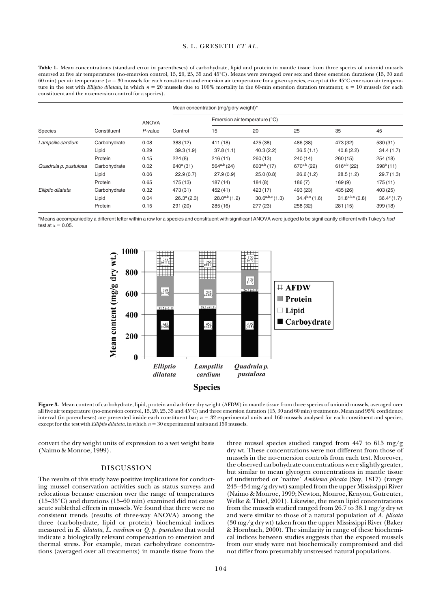## S. L. GRESETH *ET AL.*

Table 1. Mean concentrations (standard error in parentheses) of carbohydrate, lipid and protein in mantle tissue from three species of unionid mussels emersed at five air temperatures (no-emersion control, 15, 20, 25, 35 and 45°C). Means were averaged over sex and three emersion durations (15, 30 and 60 min) per air temperature (*n* 30 mussels for each constituent and emersion air temperature for a given species, except at the 45°C emersion air temperature in the test with *Elliptio dilatata*, in which  $n = 20$  mussels due to 100% mortality in the 60-min emersion duration treatment;  $n = 10$  mussels for each constituent and the no-emersion control for a species).

| Species               | Constituent  | <b>ANOVA</b><br>$P$ -value | Mean concentration (mg/g dry weight)* |                               |                      |                    |                      |                      |
|-----------------------|--------------|----------------------------|---------------------------------------|-------------------------------|----------------------|--------------------|----------------------|----------------------|
|                       |              |                            | Control                               | Emersion air temperature (°C) |                      |                    |                      |                      |
|                       |              |                            |                                       | 15                            | 20                   | 25                 | 35                   | 45                   |
| Lampsilis cardium     | Carbohydrate | 0.08                       | 388 (12)                              | 411 (18)                      | 425 (38)             | 486 (38)           | 473 (32)             | 530 (31)             |
|                       | Lipid        | 0.29                       | 39.3(1.9)                             | 37.8(1.1)                     | 40.3(2.2)            | 36.5(1.1)          | 40.8(2.2)            | 34.4(1.7)            |
|                       | Protein      | 0.15                       | 224(8)                                | 216(11)                       | 260(13)              | 240(14)            | 260(15)              | 254(18)              |
| Quadrula p. pustulosa | Carbohydrate | 0.02                       | $640^{\circ}$ (31)                    | $564^{a,b}$ (24)              | $603^{a,b}$ (17)     | $670^{a,b}$ (22)   | $616^{a,b}$ (22)     | $598b$ (11)          |
|                       | Lipid        | 0.06                       | 22.9(0.7)                             | 27.9(0.9)                     | 25.0(0.8)            | 26.6(1.2)          | 28.5(1.2)            | 29.7(1.3)            |
|                       | Protein      | 0.65                       | 175 (13)                              | 187(14)                       | 184(8)               | 186(7)             | 169(9)               | 175(11)              |
| Elliptio dilatata     | Carbohydrate | 0.32                       | 473 (31)                              | 452 (41)                      | 423 (17)             | 493 (23)           | 435 (26)             | 403 (25)             |
|                       | Lipid        | 0.04                       | $26.3^a(2.3)$                         | $28.0^{a,b}$ (1.2)            | $30.6^{a,b,c}$ (1.3) | $34.4^{b,c}$ (1.6) | $31.8^{a,b,c} (0.8)$ | $36.4^{\circ}$ (1.7) |
|                       | Protein      | 0.15                       | 291 (20)                              | 285(16)                       | 277 (23)             | 258 (32)           | 281 (15)             | 399(18)              |

\*Means accompanied by a different letter within a row for a species and constituent with significant ANOVA were judged to be significantly different with Tukey's *hsd* test at  $\alpha = 0.05$ .



Figure 3. Mean content of carbohydrate, lipid, protein and ash-free dry weight (AFDW) in mantle tissue from three species of unionid mussels, averaged over all five air temperature (no-emersion control, 15, 20, 25, 35 and 45°C) and three emersion duration (15, 30 and 60 min) treatments. Mean and 95% confidence interval (in parentheses) are presented inside each constituent bar;  $n = 32$  experimental units and 160 mussels analysed for each constituent and species, except for the test with *Elliptio dilatata*, in which  $n = 30$  experimental units and 150 mussels.

convert the dry weight units of expression to a wet weight basis (Naimo & Monroe, 1999).

## DISCUSSION

The results of this study have positive implications for conducting mussel conservation activities such as status surveys and relocations because emersion over the range of temperatures (15–35°C) and durations (15–60 min) examined did not cause acute sublethal effects in mussels. We found that there were no consistent trends (results of three-way ANOVA) among the three (carbohydrate, lipid or protein) biochemical indices measured in *E. dilatata*, *L. cardium* or *Q. p. pustulosa* that would indicate a biologically relevant compensation to emersion and thermal stress. For example, mean carbohydrate concentrations (averaged over all treatments) in mantle tissue from the three mussel species studied ranged from 447 to 615 mg/g dry wt. These concentrations were not different from those of mussels in the no-emersion controls from each test. Moreover, the observed carbohydrate concentrations were slightly greater, but similar to mean glycogen concentrations in mantle tissue of undisturbed or 'native' *Amblema plicata* (Say, 1817) (range 243–434 mg/g dry wt) sampled from the upper Mississippi River (Naimo & Monroe, 1999; Newton, Monroe, Kenyon, Gutreuter, Welke & Thiel, 2001). Likewise, the mean lipid concentrations from the mussels studied ranged from 26.7 to 38.1 mg/g dry wt and were similar to those of a natural population of *A. plicata*  $(30 \,\text{mg/g} \, \text{dry wt})$  taken from the upper Mississippi River (Baker & Hornbach, 2000). The similarity in range of these biochemical indices between studies suggests that the exposed mussels from our study were not biochemically compromised and did not differ from presumably unstressed natural populations.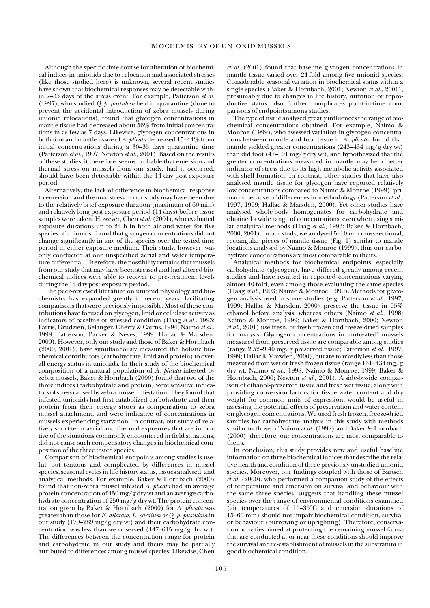Although the specific time course for alteration of biochemical indices in unionids due to relocation and associated stresses (like those studied here) is unknown, several recent studies have shown that biochemical responses may be detectable within 7–35 days of the stress event. For example, Patterson *et al.* (1997), who studied *Q. p. pustulosa* held in quarantine (done to prevent the accidental introduction of zebra mussels during unionid relocations), found that glycogen concentrations in mantle tissue had decreased about 56% from initial concentrations in as few as 7 days. Likewise, glycogen concentrations in both foot and mantle tissue of *A. plicata* decreased 15–44% from initial concentrations during a 30–35 days quarantine time (Patterson *et al.,* 1997; Newton *et al.,* 2001). Based on the results of these studies, it therefore, seems probable that emersion and thermal stress on mussels from our study, had it occurred, should have been detectable within the 14-day post-exposure period.

Alternatively, the lack of difference in biochemical response to emersion and thermal stress in our study may have been due to the relatively brief exposure duration (maximum of 60 min) and relatively long post-exposure period (14 days) before tissue samples were taken. However, Chen *et al.* (2001), who evaluated exposure durations up to 24 h in both air and water for five species of unionids, found that glycogen concentrations did not change significantly in any of the species over the tested time period in either exposure medium. Their study, however, was only conducted at one unspecified aerial and water temperature differential. Therefore, the possibility remains that mussels from our study that may have been stressed and had altered biochemical indices were able to recover to pre-treatment levels during the 14-day post-exposure period.

The peer-reviewed literature on unionid physiology and biochemistry has expanded greatly in recent years, facilitating comparisons that were previously impossible. Most of these contributions have focused on glycogen, lipid or cellulase activity as indicators of baseline or stressed condition (Haag *et al.*, 1993; Farris*,* Grudzien, Belanger, Cherry & Cairns, 1994; Naimo *et al.*, 1998; Patterson, Parker & Neves, 1999; Hallac & Marsden, 2000). However, only our study and those of Baker & Hornbach (2000, 2001), have simultaneously measured the holistic biochemical contributors (carbohydrate, lipid and protein) to overall energy status in unionids. In their study of the biochemical composition of a natural population of *A. plicata* infested by zebra mussels, Baker & Hornbach (2000) found that two of the three indices (carbohydrate and protein) were sensitive indicators of stress caused by zebra mussel infestation. They found that infested unionids had first catabolized carbohydrate and then protein from their energy stores as compensation to zebra mussel attachment, and were indicative of concentrations in mussels experiencing starvation. In contrast, our study of relatively short-term aerial and thermal exposures that are indicative of the situations commonly encountered in field situations, did not cause such compensatory changes in biochemical composition of the three tested species.

Comparison of biochemical endpoints among studies is useful, but tenuous and complicated by differences in mussel species, seasonal cycles in life history status, tissues analysed, and analytical methods. For example, Baker & Hornbach (2000) found that non-zebra mussel infested *A. plicata* had an average protein concentration of 450 mg/g dry wt and an average carbohydrate concentration of 250 mg/g dry wt. The protein concentration given by Baker & Hornbach (2000) for *A. plicata* was greater than those for *E. dilatata*, *L. cardium or Q. p. pustulosa* in our study (179–289 mg/g dry wt) and their carbohydrate concentration was less than we observed (447–615 mg/g dry wt). The differences between the concentration range for protein and carbohydrate in our study and theirs may be partially attributed to differences among mussel species. Likewise, Chen

*et al.* (2001) found that baseline glycogen concentrations in mantle tissue varied over 24-fold among five unionid species. Considerable seasonal variation in biochemical status within a single species (Baker & Hornbach, 2001; Newton *et al*., 2001), presumably due to changes in life history, nutrition or reproductive status, also further complicates point-in-time comparisons of endpoints among studies.

The type of tissue analysed greatly influences the range of biochemical concentrations obtained. For example, Naimo & Monroe (1999), who assessed variation in glycogen concentrations between mantle and foot tissue in *A. plicata*, found that mantle yielded greater concentrations (243–434 mg/g dry wt) than did foot  $(47-101 \text{ mg/g dry wt})$ , and hypothesized that the greater concentrations measured in mantle may be a better indicator of stress due to its high metabolic activity associated with shell formation. In contrast, other studies that have also analysed mantle tissue for glycogen have reported relatively low concentrations compared to Naimo & Monroe (1999), primarily because of differences in methodology (Patterson *et al.,* 1997, 1999; Hallac & Marsden, 2000). Yet other studies have analysed whole-body homogenates for carbohydrate and obtained a wide range of concentrations, even when using similar analytical methods (Haag *et al.,* 1993; Baker & Hornbach, 2000, 2001). In our study, we analysed 5–10 mm cross-sectional, rectangular pieces of mantle tissue (Fig. 1) similar to mantle locations analysed by Naimo & Monroe (1999), thus our carbohydrate concentrations are most comparable to theirs.

Analytical methods for biochemical endpoints, especially carbohydrate (glycogen), have differed greatly among recent studies and have resulted in reported concentrations varying almost 40-fold, even among those evaluating the same species (Haag *et al.,* 1993; Naimo & Monroe, 1999). Methods for glycogen analysis used in some studies (e.g. Patterson *et al.,* 1997, 1999; Hallac & Marsden, 2000) preserve the tissue in 95% ethanol before analysis, whereas others (Naimo *et al.,* 1998; Naimo & Monroe, 1999; Baker & Hornbach, 2000; Newton *et al.,* 2001) use fresh, or fresh frozen and freeze-dried samples for analysis. Glycogen concentrations in 'untreated' mussels measured from preserved tissue are comparable among studies (range 2.52–9.40 mg/g preserved tissue; Patterson *et al.,* 1997, 1999; Hallac & Marsden, 2000), but are markedly less than those measured from wet or fresh frozen tissue (range 131–434 mg/g dry wt; Naimo *et al.,* 1998; Naimo & Monroe, 1999; Baker & Hornbach, 2000; Newton *et al.,* 2001). A side-by-side comparison of ethanol-preserved tissue and fresh wet tissue, along with providing conversion factors for tissue water content and dry weight for common units of expression, would be useful in assessing the potential effects of preservation and water content on glycogen concentrations. We used fresh frozen, freeze-dried samples for carbohydrate analysis in this study with methods similar to those of Naimo *et al.* (1998) and Baker & Hornbach (2000); therefore, our concentrations are most comparable to theirs.

In conclusion, this study provides new and useful baseline information on three biochemical indices that describe the relative health and condition of three previously unstudied unionid species. Moreover, our findings coupled with those of Bartsch *et al.* (2000), who performed a companion study of the effects of temperature and emersion on survival and behaviour with the same three species, suggests that handling these mussel species over the range of environmental conditions examined (air temperatures of 15–35°C and emersion durations of 15–60 min) should not impair biochemical condition, survival or behaviour (burrowing or uprighting). Therefore, conservation activities aimed at protecting the remaining mussel fauna that are conducted at or near these conditions should improve the survival and re-establishment of mussels in the substratum in good biochemical condition.